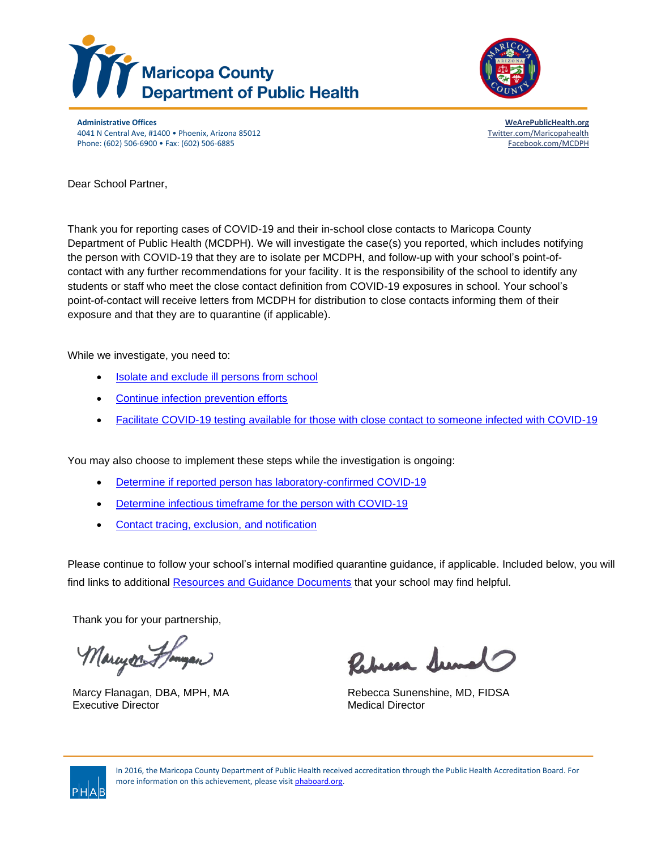



**Administrative Offices [WeArePublicHealth.org](http://www.wearepublichealth.org/)** 4041 N Central Ave, #1400 • Phoenix, Arizona 85012 [Twitter.com/Maricopahealth](http://www.twitter.com/maricopahealth) Phone: (602) 506-6900 • Fax: (602) 506-6885 [Facebook.com/MCDPH](http://www.facebook.com/mcdph)

Dear School Partner,

Thank you for reporting cases of COVID-19 and their in-school close contacts to Maricopa County Department of Public Health (MCDPH). We will investigate the case(s) you reported, which includes notifying the person with COVID-19 that they are to isolate per MCDPH, and follow-up with your school's point-ofcontact with any further recommendations for your facility. It is the responsibility of the school to identify any students or staff who meet the close contact definition from COVID-19 exposures in school. Your school's point-of-contact will receive letters from MCDPH for distribution to close contacts informing them of their exposure and that they are to quarantine (if applicable).

While we investigate, you need to:

- Isolate and exclude ill persons from school
- [Continue infection prevention efforts](#page-8-0)
- [Facilitate COVID-19 testing available for those with close contact to someone infected with COVID-19](#page-10-0)

You may also choose to implement these steps while the investigation is ongoing:

- Determine if reported person has laboratory-confirmed COVID-19
- [Determine infectious timeframe for the person with COVID-19](#page-4-0)
- [Contact tracing, exclusion, and notification](#page-5-0)

Please continue to follow your school's internal modified quarantine guidance, if applicable. Included below, you will find links to additional [Resources and Guidance Documents](#page-11-0) that your school may find helpful.

Thank you for your partnership,

Marcyon Floryan

Executive Director **Medical Director** Medical Director

Rebecca Sumo

Marcy Flanagan, DBA, MPH, MA Rebecca Sunenshine, MD, FIDSA



In 2016, the Maricopa County Department of Public Health received accreditation through the Public Health Accreditation Board. For more information on this achievement, please visi[t phaboard.org.](http://www.phaboard.org/)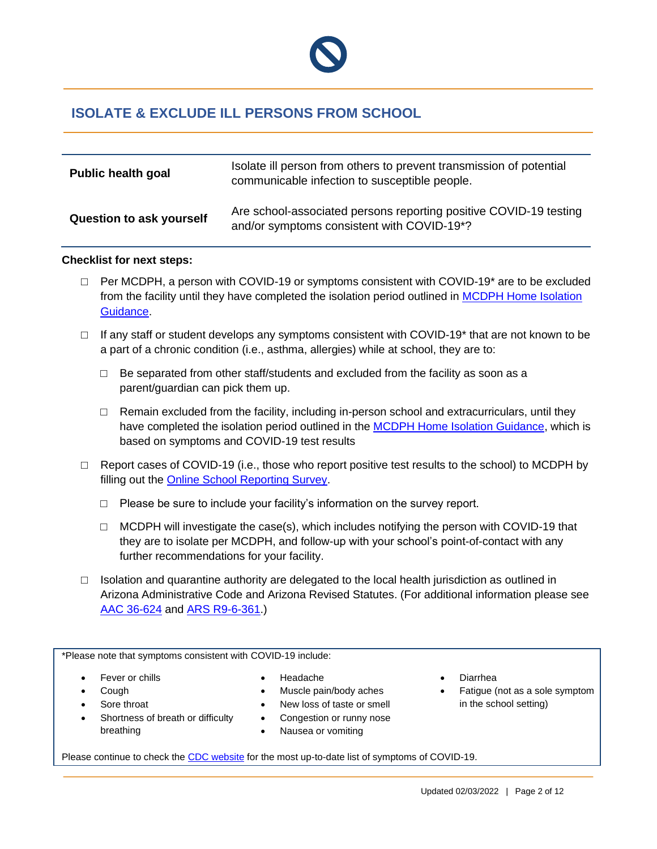

## **ISOLATE & EXCLUDE ILL PERSONS FROM SCHOOL**

| <b>Public health goal</b>       | Isolate ill person from others to prevent transmission of potential<br>communicable infection to susceptible people.        |
|---------------------------------|-----------------------------------------------------------------------------------------------------------------------------|
| <b>Question to ask yourself</b> | Are school-associated persons reporting positive COVID-19 testing<br>and/or symptoms consistent with COVID-19 <sup>*?</sup> |

#### **Checklist for next steps:**

- $\Box$  Per MCDPH, a person with COVID-19 or symptoms consistent with COVID-19<sup>\*</sup> are to be excluded from the facility until they have completed the isolation period outlined in [MCDPH Home Isolation](https://www.maricopa.gov/DocumentCenter/View/58863/Home-Isolation-Guidelines?bidId=)  [Guidance.](https://www.maricopa.gov/DocumentCenter/View/58863/Home-Isolation-Guidelines?bidId=)
- $\Box$  If any staff or student develops any symptoms consistent with COVID-19<sup>\*</sup> that are not known to be a part of a chronic condition (i.e., asthma, allergies) while at school, they are to:
	- $\Box$  Be separated from other staff/students and excluded from the facility as soon as a parent/guardian can pick them up.
	- $\Box$  Remain excluded from the facility, including in-person school and extracurriculars, until they have completed the isolation period outlined in the [MCDPH Home Isolation Guidance,](https://www.maricopa.gov/DocumentCenter/View/58863/Home-Isolation-Guidelines?bidId=) which is based on symptoms and COVID-19 test results
- $\Box$  Report cases of COVID-19 (i.e., those who report positive test results to the school) to MCDPH by filling out the [Online School Reporting Survey.](https://maricopasneb.co1.qualtrics.com/jfe/form/SV_d51wyxC8wp8ozfD)
	- $\Box$  Please be sure to include your facility's information on the survey report.
	- $\Box$  MCDPH will investigate the case(s), which includes notifying the person with COVID-19 that they are to isolate per MCDPH, and follow-up with your school's point-of-contact with any further recommendations for your facility.
- $\Box$  Isolation and quarantine authority are delegated to the local health jurisdiction as outlined in Arizona Administrative Code and Arizona Revised Statutes. (For additional information please see [AAC 36-624](https://www.azleg.gov/viewdocument/?docName=https://www.azleg.gov/ars/36/00624.htm) and [ARS R9-6-361.](https://apps.azsos.gov/public_services/Title_09/9-06.pdf))

\*Please note that symptoms consistent with COVID-19 include:

Fever or chills

Sore throat

• Cough

- Headache
- Muscle pain/body aches
- New loss of taste or smell
- Shortness of breath or difficulty breathing
- Congestion or runny nose • Nausea or vomiting
- Diarrhea
- Fatigue (not as a sole symptom in the school setting)

Please continue to check the [CDC website](https://www.cdc.gov/coronavirus/2019-ncov/symptoms-testing/symptoms.html) for the most up-to-date list of symptoms of COVID-19.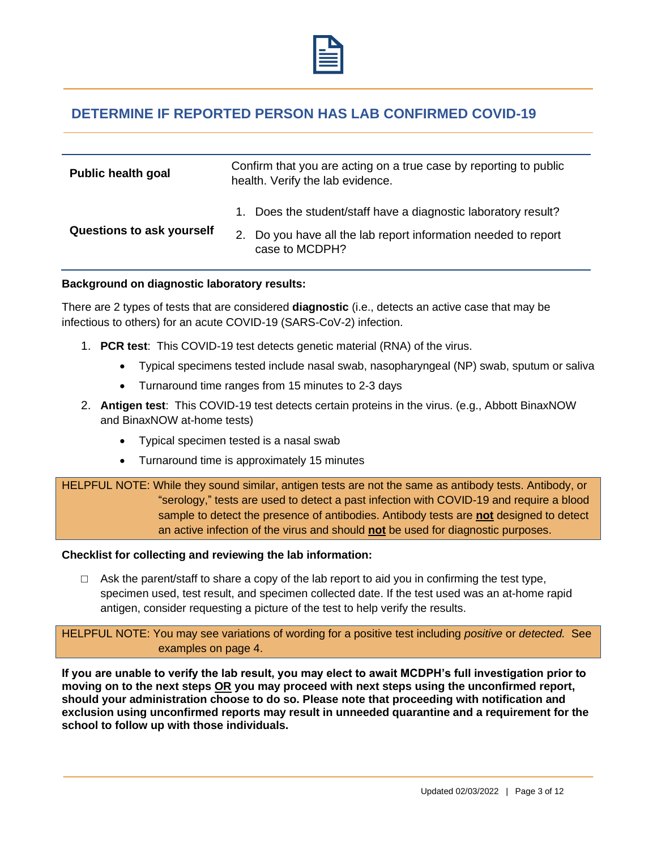

## **DETERMINE IF REPORTED PERSON HAS LAB CONFIRMED COVID-19**

| <b>Public health goal</b> | Confirm that you are acting on a true case by reporting to public<br>health. Verify the lab evidence.                                              |  |  |
|---------------------------|----------------------------------------------------------------------------------------------------------------------------------------------------|--|--|
| Questions to ask yourself | 1. Does the student/staff have a diagnostic laboratory result?<br>2. Do you have all the lab report information needed to report<br>case to MCDPH? |  |  |

#### **Background on diagnostic laboratory results:**

There are 2 types of tests that are considered **diagnostic** (i.e., detects an active case that may be infectious to others) for an acute COVID-19 (SARS-CoV-2) infection.

- 1. **PCR test**: This COVID-19 test detects genetic material (RNA) of the virus.
	- Typical specimens tested include nasal swab, nasopharyngeal (NP) swab, sputum or saliva
	- Turnaround time ranges from 15 minutes to 2-3 days
- 2. **Antigen test**: This COVID-19 test detects certain proteins in the virus. (e.g., Abbott BinaxNOW and BinaxNOW at-home tests)
	- Typical specimen tested is a nasal swab
	- Turnaround time is approximately 15 minutes

HELPFUL NOTE: While they sound similar, antigen tests are not the same as antibody tests. Antibody, or "serology," tests are used to detect a past infection with COVID-19 and require a blood sample to detect the presence of antibodies. Antibody tests are **not** designed to detect an active infection of the virus and should **not** be used for diagnostic purposes.

### **Checklist for collecting and reviewing the lab information:**

 $\Box$  Ask the parent/staff to share a copy of the lab report to aid you in confirming the test type, specimen used, test result, and specimen collected date. If the test used was an at-home rapid antigen, consider requesting a picture of the test to help verify the results.

HELPFUL NOTE: You may see variations of wording for a positive test including *positive* or *detected.* See examples on page 4.

**If you are unable to verify the lab result, you may elect to await MCDPH's full investigation prior to moving on to the next steps OR you may proceed with next steps using the unconfirmed report, should your administration choose to do so. Please note that proceeding with notification and exclusion using unconfirmed reports may result in unneeded quarantine and a requirement for the school to follow up with those individuals.**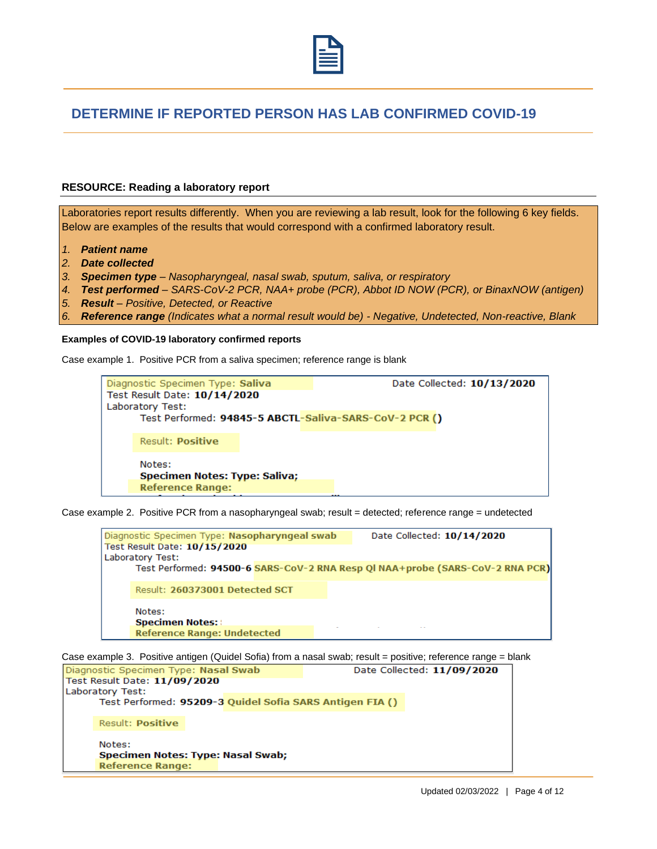

## **DETERMINE IF REPORTED PERSON HAS LAB CONFIRMED COVID-19**

#### **RESOURCE: Reading a laboratory report**

Laboratories report results differently. When you are reviewing a lab result, look for the following 6 key fields. Below are examples of the results that would correspond with a confirmed laboratory result.

- *1. Patient name*
- *2. Date collected*
- *3. Specimen type – Nasopharyngeal, nasal swab, sputum, saliva, or respiratory*
- *4. Test performed – SARS-CoV-2 PCR, NAA+ probe (PCR), Abbot ID NOW (PCR), or BinaxNOW (antigen)*
- *5. Result – Positive, Detected, or Reactive*
- *6. Reference range (Indicates what a normal result would be) - Negative, Undetected, Non-reactive, Blank*

#### **Examples of COVID-19 laboratory confirmed reports**

Case example 1. Positive PCR from a saliva specimen; reference range is blank

| Diagnostic Specimen Type: Saliva<br>Test Result Date: 10/14/2020<br>Laboratory Test: | Date Collected: 10/13/2020<br>Test Performed: 94845-5 ABCTL-Saliva-SARS-CoV-2 PCR () |  |
|--------------------------------------------------------------------------------------|--------------------------------------------------------------------------------------|--|
| <b>Result: Positive</b>                                                              |                                                                                      |  |
| Notes:<br><b>Specimen Notes: Type: Saliva;</b><br><b>Reference Range:</b>            |                                                                                      |  |

Case example 2. Positive PCR from a nasopharyngeal swab; result = detected; reference range = undetected

| Diagnostic Specimen Type: Nasopharyngeal swab<br>Test Result Date: 10/15/2020<br>Laboratory Test: |  | Date Collected: 10/14/2020                                                    |
|---------------------------------------------------------------------------------------------------|--|-------------------------------------------------------------------------------|
|                                                                                                   |  | Test Performed: 94500-6 SARS-CoV-2 RNA Resp QI NAA+probe (SARS-CoV-2 RNA PCR) |
| Result: 260373001 Detected SCT                                                                    |  |                                                                               |
| Notes:<br><b>Specimen Notes:</b>                                                                  |  |                                                                               |
| <b>Reference Range: Undetected</b>                                                                |  |                                                                               |

Case example 3. Positive antigen (Quidel Sofia) from a nasal swab; result = positive; reference range = blank

| Diagnostic Specimen Type: Nasal Swab                                   |  |                                                          | Date Collected: 11/09/2020 |
|------------------------------------------------------------------------|--|----------------------------------------------------------|----------------------------|
| Test Result Date: 11/09/2020                                           |  |                                                          |                            |
| Laboratory Test:                                                       |  |                                                          |                            |
|                                                                        |  | Test Performed: 95209-3 Quidel Sofia SARS Antigen FIA () |                            |
| Result: <b>Positive</b>                                                |  |                                                          |                            |
| Notes:<br>Specimen Notes: Type: Nasal Swab;<br><b>Reference Range:</b> |  |                                                          |                            |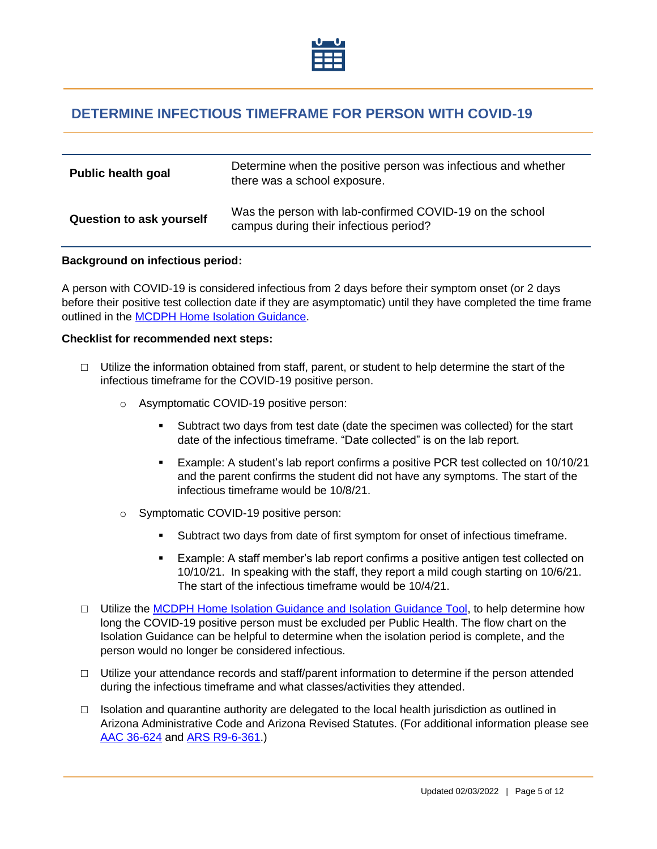

## <span id="page-4-0"></span>**DETERMINE INFECTIOUS TIMEFRAME FOR PERSON WITH COVID-19**

| <b>Public health goal</b> | Determine when the positive person was infectious and whether<br>there was a school exposure.      |
|---------------------------|----------------------------------------------------------------------------------------------------|
| Question to ask yourself  | Was the person with lab-confirmed COVID-19 on the school<br>campus during their infectious period? |

#### **Background on infectious period:**

A person with COVID-19 is considered infectious from 2 days before their symptom onset (or 2 days before their positive test collection date if they are asymptomatic) until they have completed the time frame outlined in the [MCDPH Home Isolation Guidance.](https://www.maricopa.gov/DocumentCenter/View/58863/Home-Isolation-Guidelines?bidId=)

#### **Checklist for recommended next steps:**

- $\Box$  Utilize the information obtained from staff, parent, or student to help determine the start of the infectious timeframe for the COVID-19 positive person.
	- o Asymptomatic COVID-19 positive person:
		- Subtract two days from test date (date the specimen was collected) for the start date of the infectious timeframe. "Date collected" is on the lab report.
		- Example: A student's lab report confirms a positive PCR test collected on 10/10/21 and the parent confirms the student did not have any symptoms. The start of the infectious timeframe would be 10/8/21.
	- o Symptomatic COVID-19 positive person:
		- Subtract two days from date of first symptom for onset of infectious timeframe.
		- Example: A staff member's lab report confirms a positive antigen test collected on 10/10/21. In speaking with the staff, they report a mild cough starting on 10/6/21. The start of the infectious timeframe would be 10/4/21.
- $\Box$  Utilize the [MCDPH Home Isolation Guidance](https://www.maricopa.gov/DocumentCenter/View/58863/Home-Isolation-Guidelines?bidId=) and [Isolation Guidance Tool,](https://maricopasneb.co1.qualtrics.com/jfe/form/SV_3wLf31Anb2yNAUZ) to help determine how long the COVID-19 positive person must be excluded per Public Health. The flow chart on the Isolation Guidance can be helpful to determine when the isolation period is complete, and the person would no longer be considered infectious.
- $\Box$  Utilize your attendance records and staff/parent information to determine if the person attended during the infectious timeframe and what classes/activities they attended.
- $\Box$  Isolation and quarantine authority are delegated to the local health jurisdiction as outlined in Arizona Administrative Code and Arizona Revised Statutes. (For additional information please see [AAC 36-624](https://www.azleg.gov/viewdocument/?docName=https://www.azleg.gov/ars/36/00624.htm) and [ARS R9-6-361.](https://apps.azsos.gov/public_services/Title_09/9-06.pdf))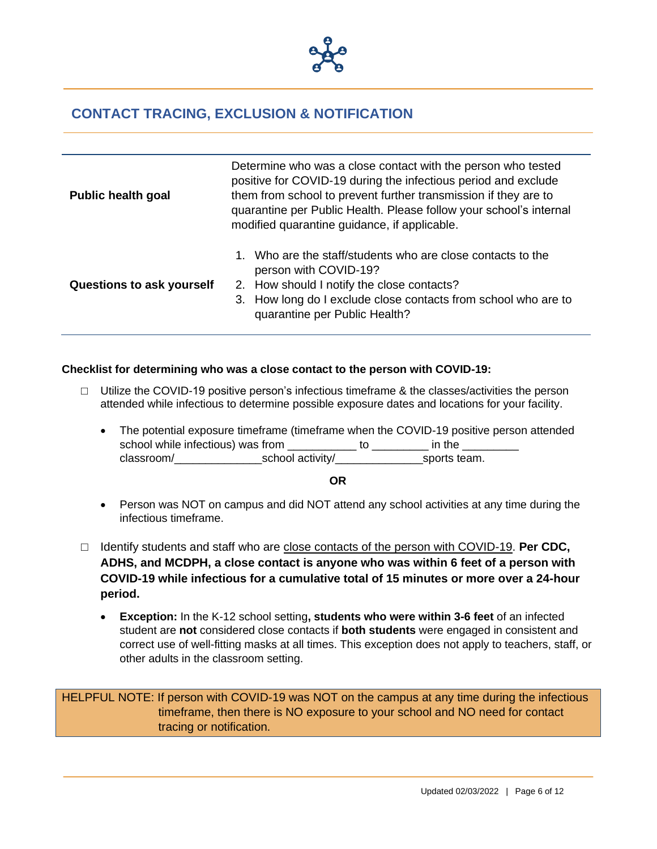

## <span id="page-5-0"></span>**CONTACT TRACING, EXCLUSION & NOTIFICATION**

| <b>Public health goal</b>        | Determine who was a close contact with the person who tested<br>positive for COVID-19 during the infectious period and exclude<br>them from school to prevent further transmission if they are to<br>quarantine per Public Health. Please follow your school's internal<br>modified quarantine guidance, if applicable. |  |  |
|----------------------------------|-------------------------------------------------------------------------------------------------------------------------------------------------------------------------------------------------------------------------------------------------------------------------------------------------------------------------|--|--|
| <b>Questions to ask yourself</b> | 1. Who are the staff/students who are close contacts to the<br>person with COVID-19?<br>2. How should I notify the close contacts?<br>3. How long do I exclude close contacts from school who are to<br>quarantine per Public Health?                                                                                   |  |  |

### **Checklist for determining who was a close contact to the person with COVID-19:**

- $\Box$  Utilize the COVID-19 positive person's infectious time frame & the classes/activities the person attended while infectious to determine possible exposure dates and locations for your facility.
	- The potential exposure timeframe (timeframe when the COVID-19 positive person attended school while infectious) was from \_\_\_\_\_\_\_\_\_\_\_\_ to \_\_\_\_\_\_\_\_\_\_ in the \_\_\_\_\_\_\_\_\_\_\_\_<br>classroom/ school activity/ sports team. classroom/\_\_\_\_\_\_\_\_\_\_\_\_\_\_\_\_\_\_\_\_\_\_school activity/

**OR**

- Person was NOT on campus and did NOT attend any school activities at any time during the infectious timeframe.
- □ Identify students and staff who are close contacts of the person with COVID-19. **Per CDC**, **ADHS, and MCDPH, a close contact is anyone who was within 6 feet of a person with COVID-19 while infectious for a cumulative total of 15 minutes or more over a 24-hour period.** 
	- **Exception:** In the K-12 school setting**, students who were within 3-6 feet** of an infected student are **not** considered close contacts if **both students** were engaged in consistent and correct use of well-fitting masks at all times. This exception does not apply to teachers, staff, or other adults in the classroom setting.

HELPFUL NOTE: If person with COVID-19 was NOT on the campus at any time during the infectious timeframe, then there is NO exposure to your school and NO need for contact tracing or notification.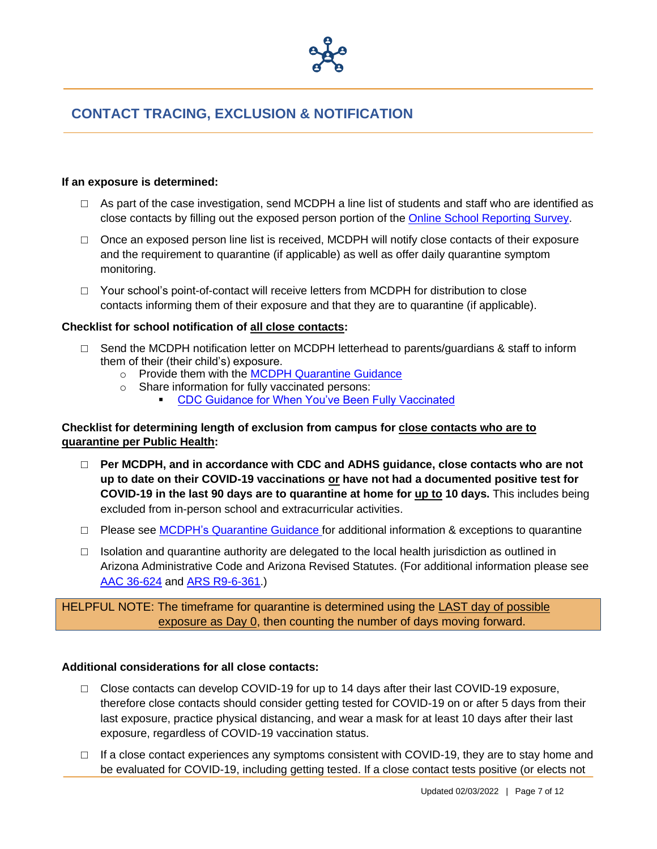

## **CONTACT TRACING, EXCLUSION & NOTIFICATION**

### **If an exposure is determined:**

- $\Box$  As part of the case investigation, send MCDPH a line list of students and staff who are identified as close contacts by filling out the exposed person portion of the [Online School Reporting Survey.](https://maricopasneb.co1.qualtrics.com/jfe/form/SV_d51wyxC8wp8ozfD)
- $\Box$  Once an exposed person line list is received, MCDPH will notify close contacts of their exposure and the requirement to quarantine (if applicable) as well as offer daily quarantine symptom monitoring.
- □ Your school's point-of-contact will receive letters from MCDPH for distribution to close contacts informing them of their exposure and that they are to quarantine (if applicable).

### **Checklist for school notification of all close contacts:**

- $\Box$  Send the MCDPH notification letter on MCDPH letterhead to parents/guardians & staff to inform them of their (their child's) exposure.
	- o Provide them with the [MCDPH Quarantine Guidance](https://www.maricopa.gov/DocumentCenter/View/58864/Quarantine-Guidance-for-Household-and-Close-Contacts?bidId=)
	- o Share information for fully vaccinated persons: [CDC Guidance for When You've Been Fully Vaccinated](https://www.cdc.gov/coronavirus/2019-ncov/vaccines/fully-vaccinated.html)

### **Checklist for determining length of exclusion from campus for close contacts who are to quarantine per Public Health:**

- □ **Per MCDPH, and in accordance with CDC and ADHS guidance, close contacts who are not up to date on their COVID-19 vaccinations or have not had a documented positive test for COVID-19 in the last 90 days are to quarantine at home for up to 10 days.** This includes being excluded from in-person school and extracurricular activities.
- □ Please see MCDPH's [Quarantine Guidance](https://www.maricopa.gov/DocumentCenter/View/58864/Quarantine-Guidance-for-Household-and-Close-Contacts?bidId=) for additional information & exceptions to quarantine
- $\Box$  Isolation and quarantine authority are delegated to the local health jurisdiction as outlined in Arizona Administrative Code and Arizona Revised Statutes. (For additional information please see [AAC 36-624](https://www.azleg.gov/viewdocument/?docName=https://www.azleg.gov/ars/36/00624.htm) and [ARS R9-6-361.](https://apps.azsos.gov/public_services/Title_09/9-06.pdf))

HELPFUL NOTE: The timeframe for quarantine is determined using the LAST day of possible exposure as Day 0, then counting the number of days moving forward.

### **Additional considerations for all close contacts:**

- □ Close contacts can develop COVID-19 for up to 14 days after their last COVID-19 exposure, therefore close contacts should consider getting tested for COVID-19 on or after 5 days from their last exposure, practice physical distancing, and wear a mask for at least 10 days after their last exposure, regardless of COVID-19 vaccination status.
- $\Box$  If a close contact experiences any symptoms consistent with COVID-19, they are to stay home and be evaluated for COVID-19, including getting tested. If a close contact tests positive (or elects not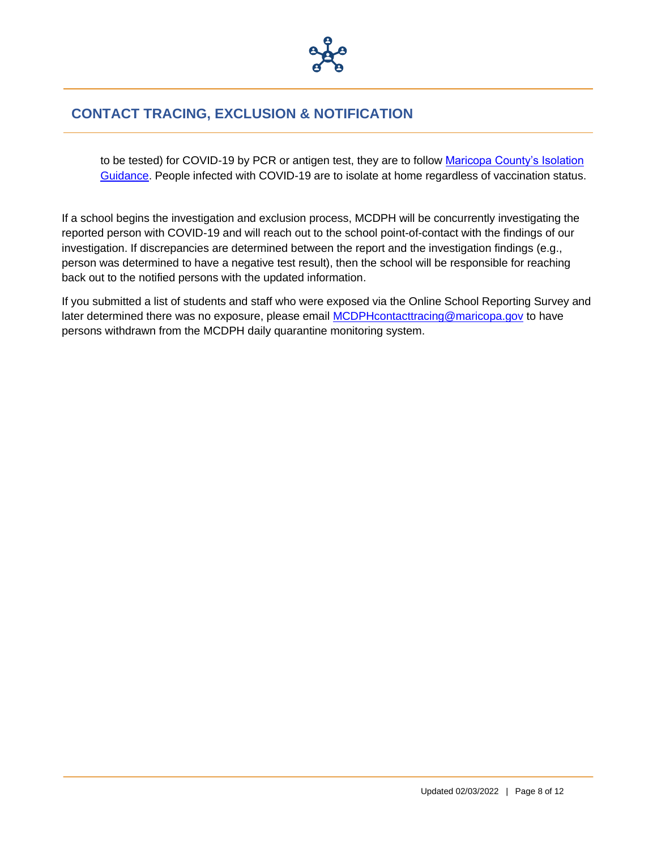

## **CONTACT TRACING, EXCLUSION & NOTIFICATION**

to be tested) for COVID-19 by PCR or antigen test, they are to follow [Maricopa County's Isolation](https://www.maricopa.gov/DocumentCenter/View/58863/Home-Isolation-Guidance?bidId=)  [Guidance.](https://www.maricopa.gov/DocumentCenter/View/58863/Home-Isolation-Guidance?bidId=) People infected with COVID-19 are to isolate at home regardless of vaccination status.

If a school begins the investigation and exclusion process, MCDPH will be concurrently investigating the reported person with COVID-19 and will reach out to the school point-of-contact with the findings of our investigation. If discrepancies are determined between the report and the investigation findings (e.g., person was determined to have a negative test result), then the school will be responsible for reaching back out to the notified persons with the updated information.

If you submitted a list of students and staff who were exposed via the Online School Reporting Survey and later determined there was no exposure, please email [MCDPHcontacttracing@maricopa.gov](mailto:MCDPHcontacttracing@maricopa.gov) to have persons withdrawn from the MCDPH daily quarantine monitoring system.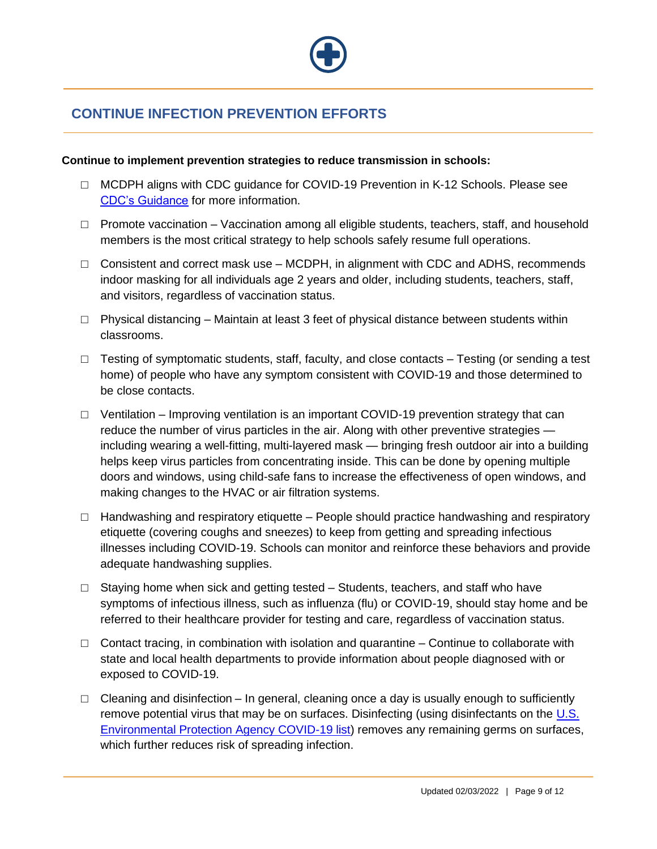

# <span id="page-8-0"></span>**CONTINUE INFECTION PREVENTION EFFORTS**

### **Continue to implement prevention strategies to reduce transmission in schools:**

- □ MCDPH aligns with CDC guidance for COVID-19 Prevention in K-12 Schools. Please see [CDC's Guidance](https://www.cdc.gov/coronavirus/2019-ncov/community/schools-childcare/k-12-guidance.html) for more information.
- □ Promote vaccination Vaccination among all eligible students, teachers, staff, and household members is the most critical strategy to help schools safely resume full operations.
- $\Box$  Consistent and correct mask use MCDPH, in alignment with CDC and ADHS, recommends indoor masking for all individuals age 2 years and older, including students, teachers, staff, and visitors, regardless of vaccination status.
- $\Box$  Physical distancing Maintain at least 3 feet of physical distance between students within classrooms.
- $\Box$  Testing of symptomatic students, staff, faculty, and close contacts Testing (or sending a test home) of people who have any symptom consistent with COVID-19 and those determined to be close contacts.
- $\Box$  Ventilation Improving ventilation is an important COVID-19 prevention strategy that can reduce the number of virus particles in the air. Along with other preventive strategies including wearing a well-fitting, multi-layered mask — bringing fresh outdoor air into a building helps keep virus particles from concentrating inside. This can be done by opening multiple doors and windows, using child-safe fans to increase the effectiveness of open windows, and making changes to the HVAC or air filtration systems.
- $\Box$  Handwashing and respiratory etiquette People should practice handwashing and respiratory etiquette (covering coughs and sneezes) to keep from getting and spreading infectious illnesses including COVID-19. Schools can monitor and reinforce these behaviors and provide adequate handwashing supplies.
- $\Box$  Staying home when sick and getting tested Students, teachers, and staff who have symptoms of infectious illness, such as influenza (flu) or COVID-19, should stay home and be referred to their healthcare provider for testing and care, regardless of vaccination status.
- $\Box$  Contact tracing, in combination with isolation and quarantine Continue to collaborate with state and local health departments to provide information about people diagnosed with or exposed to COVID-19.
- $\Box$  Cleaning and disinfection In general, cleaning once a day is usually enough to sufficiently remove potential virus that may be on surfaces. Disinfecting (using disinfectants on the [U.S.](https://www.epa.gov/coronavirus/about-list-n-disinfectants-coronavirus-covid-19-0)  [Environmental Protection Agency COVID-19 list\)](https://www.epa.gov/coronavirus/about-list-n-disinfectants-coronavirus-covid-19-0) removes any remaining germs on surfaces, which further reduces risk of spreading infection.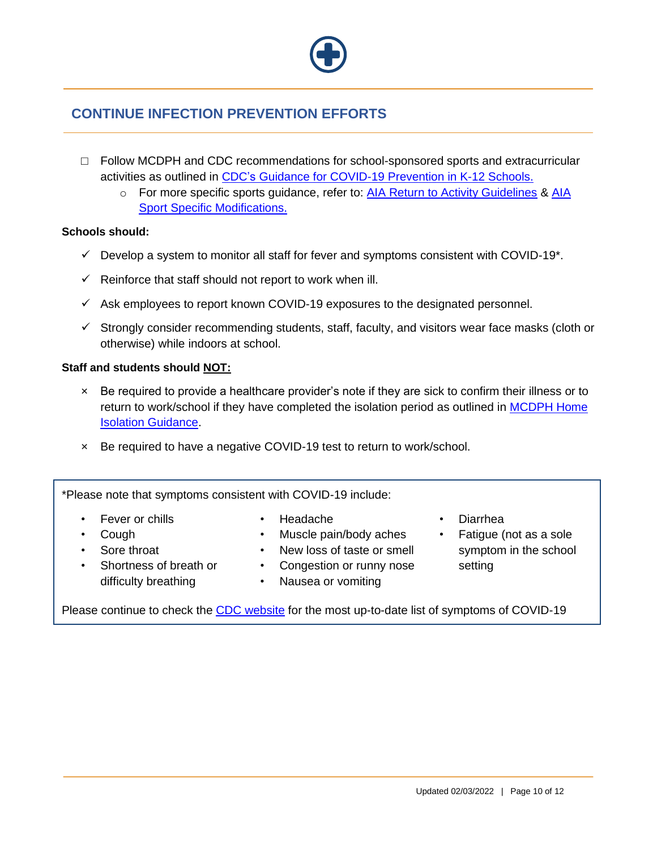## **CONTINUE INFECTION PREVENTION EFFORTS**

- $\Box$  Follow MCDPH and CDC recommendations for school-sponsored sports and extracurricular activities as outlined in CDC's [Guidance for COVID-19 Prevention in K-12 Schools.](https://www.cdc.gov/coronavirus/2019-ncov/community/schools-childcare/k-12-guidance.html)
	- o For more specific sports guidance, refer to: [AIA Return to Activity Guidelines](http://aiaonline.org/files/17051/aia-recommended-guidelines-for-return-to-activity.pdf) & [AIA](http://aiaonline.org/files/17110/fall-2020-sports-modifications.pdf)  [Sport Specific Modifications.](http://aiaonline.org/files/17110/fall-2020-sports-modifications.pdf)

### **Schools should:**

- $\checkmark$  Develop a system to monitor all staff for fever and symptoms consistent with COVID-19<sup>\*</sup>.
- $\checkmark$  Reinforce that staff should not report to work when ill.
- $\checkmark$  Ask employees to report known COVID-19 exposures to the designated personnel.
- $\checkmark$  Strongly consider recommending students, staff, faculty, and visitors wear face masks (cloth or otherwise) while indoors at school.

### **Staff and students should NOT:**

- × Be required to provide a healthcare provider's note if they are sick to confirm their illness or to return to work/school if they have completed the isolation period as outlined in MCDPH Home [Isolation Guidance.](https://www.maricopa.gov/DocumentCenter/View/58863/Home-Isolation-Guidelines?bidId=)
- × Be required to have a negative COVID-19 test to return to work/school.

\*Please note that symptoms consistent with COVID-19 include:

- Fever or chills
- Cough
- Sore throat
- Shortness of breath or difficulty breathing
- Headache
- Muscle pain/body aches
- New loss of taste or smell
- Congestion or runny nose
	- Nausea or vomiting
- Diarrhea
- Fatigue (not as a sole symptom in the school setting

Please continue to check the [CDC website](https://www.cdc.gov/coronavirus/2019-ncov/symptoms-testing/symptoms.html) for the most up-to-date list of symptoms of COVID-19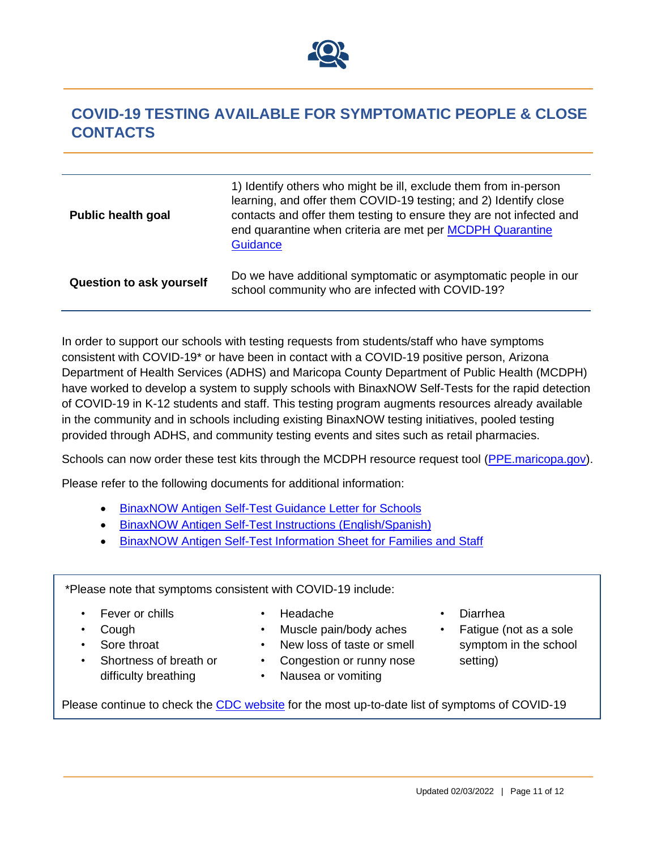

# <span id="page-10-0"></span>**COVID-19 TESTING AVAILABLE FOR SYMPTOMATIC PEOPLE & CLOSE CONTACTS**

| <b>Public health goal</b>       | 1) Identify others who might be ill, exclude them from in-person<br>learning, and offer them COVID-19 testing; and 2) Identify close<br>contacts and offer them testing to ensure they are not infected and<br>end quarantine when criteria are met per MCDPH Quarantine<br><b>Guidance</b> |
|---------------------------------|---------------------------------------------------------------------------------------------------------------------------------------------------------------------------------------------------------------------------------------------------------------------------------------------|
| <b>Question to ask yourself</b> | Do we have additional symptomatic or asymptomatic people in our<br>school community who are infected with COVID-19?                                                                                                                                                                         |

In order to support our schools with testing requests from students/staff who have symptoms consistent with COVID-19\* or have been in contact with a COVID-19 positive person, Arizona Department of Health Services (ADHS) and Maricopa County Department of Public Health (MCDPH) have worked to develop a system to supply schools with BinaxNOW Self-Tests for the rapid detection of COVID-19 in K-12 students and staff. This testing program augments resources already available in the community and in schools including existing BinaxNOW testing initiatives, pooled testing provided through ADHS, and community testing events and sites such as retail pharmacies.

Schools can now order these test kits through the MCDPH resource request tool (PPE maricopa.gov).

Please refer to the following documents for additional information:

- BinaxNOW [Antigen Self-Test Guidance Letter for Schools](https://www.maricopa.gov/DocumentCenter/View/70466/BinaxNOW-Antigen-Self-Test-Intro-Letter)
- [BinaxNOW Antigen Self-Test Instructions \(English/Spanish\)](https://www.maricopa.gov/DocumentCenter/View/70533)
- [BinaxNOW Antigen Self-Test Information Sheet for Families and Staff](https://www.maricopa.gov/DocumentCenter/View/70534)

\*Please note that symptoms consistent with COVID-19 include:

- Fever or chills
- Cough
- Sore throat
- Shortness of breath or difficulty breathing
- Headache
- Muscle pain/body aches
- New loss of taste or smell
- Congestion or runny nose
- Nausea or vomiting
- Diarrhea
- Fatigue (not as a sole symptom in the school setting)

Please continue to check the [CDC website](https://www.cdc.gov/coronavirus/2019-ncov/symptoms-testing/symptoms.html) for the most up-to-date list of symptoms of COVID-19

Updated 02/03/2022 | Page 11 of 12